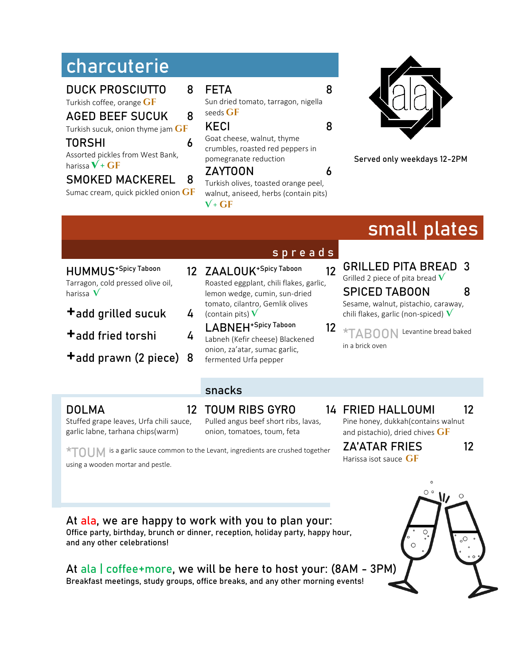## **charcuterie**

DUCK PROSCIUTTO 8

Turkish coffee, orange **GF** 

### AGED BEEF SUCUK 8

Turkish sucuk, onion thyme jam **gf**

#### TORSHI 6

Assorted pickles from West Bank, harissa  $V + GF$ 

#### SMOKED MACKEREL 8

Sumac cream, quick pickled onion **GF** 

FETA 8

Sun dried tomato, tarragon, nigella seeds **GF** 

#### KECI 8

Goat cheese, walnut, thyme crumbles, roasted red peppers in pomegranate reduction

#### ZAYTOON 6

Turkish olives, toasted orange peel, walnut, aniseed, herbs (contain pits)  $V$  +  $GF$ 



**Served only weekdays 12-2PM**

# **small plates**

- HUMMUS<sup>+Spicy Taboon</sup> Tarragon, cold pressed olive oil, harissa **V**
- $+$ add grilled sucuk 4
- +add fried torshi <sup>4</sup>
- +add prawn (2 piece) <sup>8</sup>

garlic labne, tarhana chips(warm)

- 12 ZAALOUK<sup>+Spicy Taboon</sup> 12 Roasted eggplant, chili flakes, garlic, lemon wedge, cumin, sun-dried tomato, cilantro, Gemlik olives (contain pits) **V**
	- LABNEH<sup>+Spicy Taboon</sup> 12 Labneh (Kefir cheese) Blackened onion, za'atar, sumac garlic, fermented Urfa pepper

### s p r e a d s

- GRILLED PITA BREAD 3 Grilled 2 piece of pita bread **V** SPICED TABOON 8 Sesame, walnut, pistachio, caraway, chili flakes, garlic (non-spiced) **V**
- **\*TABOON** Levantine bread baked in a brick oven

#### snacks

#### **DOLMA**

Stuffed grape leaves, Urfa chili sauce, 12 TOUM RIBS GYRO

#### Pulled angus beef short ribs, lavas, onion, tomatoes, toum, feta

14 FRIED HALLOUMI 12 Pine honey, dukkah(contains walnut and pistachio), dried chives GF

**\*TOUM** is a garlic sauce common to the Levant, ingredients are crushed together using a wooden mortar and pestle.

ZA'ATAR FRIES 12 Harissa isot sauce **GF** 

At ala, we are happy to work with you to plan your: Office party, birthday, brunch or dinner, reception, holiday party, happy hour, and any other celebrations!

At ala | coffee+more, we will be here to host your: (8AM - 3PM) Breakfast meetings, study groups, office breaks, and any other morning events!